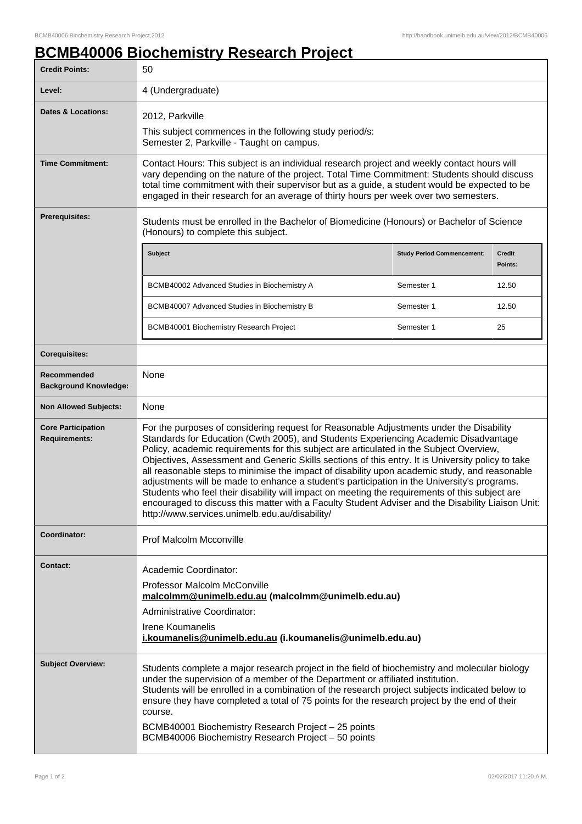## **BCMB40006 Biochemistry Research Project**

| <b>Credit Points:</b>                             | 50                                                                                                                                                                                                                                                                                                                                                                                                                                                                                                                                                                                                                                                                                                                                                                                                                                       |                                   |                   |
|---------------------------------------------------|------------------------------------------------------------------------------------------------------------------------------------------------------------------------------------------------------------------------------------------------------------------------------------------------------------------------------------------------------------------------------------------------------------------------------------------------------------------------------------------------------------------------------------------------------------------------------------------------------------------------------------------------------------------------------------------------------------------------------------------------------------------------------------------------------------------------------------------|-----------------------------------|-------------------|
| Level:                                            | 4 (Undergraduate)                                                                                                                                                                                                                                                                                                                                                                                                                                                                                                                                                                                                                                                                                                                                                                                                                        |                                   |                   |
| <b>Dates &amp; Locations:</b>                     | 2012, Parkville<br>This subject commences in the following study period/s:<br>Semester 2, Parkville - Taught on campus.                                                                                                                                                                                                                                                                                                                                                                                                                                                                                                                                                                                                                                                                                                                  |                                   |                   |
| <b>Time Commitment:</b>                           | Contact Hours: This subject is an individual research project and weekly contact hours will<br>vary depending on the nature of the project. Total Time Commitment: Students should discuss<br>total time commitment with their supervisor but as a guide, a student would be expected to be<br>engaged in their research for an average of thirty hours per week over two semesters.                                                                                                                                                                                                                                                                                                                                                                                                                                                     |                                   |                   |
| <b>Prerequisites:</b>                             | Students must be enrolled in the Bachelor of Biomedicine (Honours) or Bachelor of Science<br>(Honours) to complete this subject.                                                                                                                                                                                                                                                                                                                                                                                                                                                                                                                                                                                                                                                                                                         |                                   |                   |
|                                                   | <b>Subject</b>                                                                                                                                                                                                                                                                                                                                                                                                                                                                                                                                                                                                                                                                                                                                                                                                                           | <b>Study Period Commencement:</b> | Credit<br>Points: |
|                                                   | BCMB40002 Advanced Studies in Biochemistry A                                                                                                                                                                                                                                                                                                                                                                                                                                                                                                                                                                                                                                                                                                                                                                                             | Semester 1                        | 12.50             |
|                                                   | BCMB40007 Advanced Studies in Biochemistry B                                                                                                                                                                                                                                                                                                                                                                                                                                                                                                                                                                                                                                                                                                                                                                                             | Semester 1                        | 12.50             |
|                                                   | BCMB40001 Biochemistry Research Project                                                                                                                                                                                                                                                                                                                                                                                                                                                                                                                                                                                                                                                                                                                                                                                                  | Semester 1                        | 25                |
| <b>Corequisites:</b>                              |                                                                                                                                                                                                                                                                                                                                                                                                                                                                                                                                                                                                                                                                                                                                                                                                                                          |                                   |                   |
| Recommended<br><b>Background Knowledge:</b>       | None                                                                                                                                                                                                                                                                                                                                                                                                                                                                                                                                                                                                                                                                                                                                                                                                                                     |                                   |                   |
| <b>Non Allowed Subjects:</b>                      | None                                                                                                                                                                                                                                                                                                                                                                                                                                                                                                                                                                                                                                                                                                                                                                                                                                     |                                   |                   |
| <b>Core Participation</b><br><b>Requirements:</b> | For the purposes of considering request for Reasonable Adjustments under the Disability<br>Standards for Education (Cwth 2005), and Students Experiencing Academic Disadvantage<br>Policy, academic requirements for this subject are articulated in the Subject Overview,<br>Objectives, Assessment and Generic Skills sections of this entry. It is University policy to take<br>all reasonable steps to minimise the impact of disability upon academic study, and reasonable<br>adjustments will be made to enhance a student's participation in the University's programs.<br>Students who feel their disability will impact on meeting the requirements of this subject are<br>encouraged to discuss this matter with a Faculty Student Adviser and the Disability Liaison Unit:<br>http://www.services.unimelb.edu.au/disability/ |                                   |                   |
| Coordinator:                                      | <b>Prof Malcolm Mcconville</b>                                                                                                                                                                                                                                                                                                                                                                                                                                                                                                                                                                                                                                                                                                                                                                                                           |                                   |                   |
| <b>Contact:</b>                                   | Academic Coordinator:<br>Professor Malcolm McConville<br>malcolmm@unimelb.edu.au (malcolmm@unimelb.edu.au)<br>Administrative Coordinator:<br>Irene Koumanelis<br>i.koumanelis@unimelb.edu.au (i.koumanelis@unimelb.edu.au)                                                                                                                                                                                                                                                                                                                                                                                                                                                                                                                                                                                                               |                                   |                   |
| <b>Subject Overview:</b>                          | Students complete a major research project in the field of biochemistry and molecular biology<br>under the supervision of a member of the Department or affiliated institution.<br>Students will be enrolled in a combination of the research project subjects indicated below to<br>ensure they have completed a total of 75 points for the research project by the end of their<br>course.<br>BCMB40001 Biochemistry Research Project - 25 points<br>BCMB40006 Biochemistry Research Project - 50 points                                                                                                                                                                                                                                                                                                                               |                                   |                   |